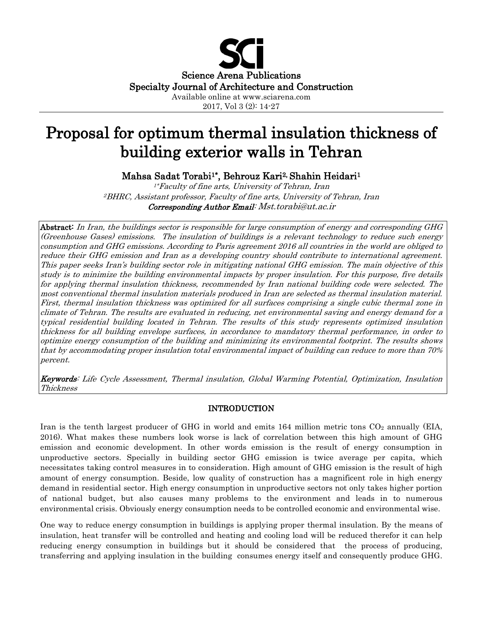

2017, Vol 3 (2): 14-27

# Proposal for optimum thermal insulation thickness of building exterior walls in Tehran

Mahsa Sadat Torabi1\*, Behrouz Kari2, Shahin Heidari1

1\*Faculty of fine arts, University of Tehran, Iran 2BHRC, Assistant professor, Faculty of fine arts, University of Tehran, Iran Corresponding Author Email: Mst.torabi@ut.ac.ir

Abstract: In Iran, the buildings sector is responsible for large consumption of energy and corresponding GHG (Greenhouse Gases) emissions. The insulation of buildings is a relevant technology to reduce such energy consumption and GHG emissions. According to Paris agreement 2016 all countries in the world are obliged to reduce their GHG emission and Iran as a developing country should contribute to international agreement. This paper seeks Iran's building sector role in mitigating national GHG emission. The main objective of this study is to minimize the building environmental impacts by proper insulation. For this purpose, five details for applying thermal insulation thickness, recommended by Iran national building code were selected. The most conventional thermal insulation materials produced in Iran are selected as thermal insulation material. First, thermal insulation thickness was optimized for all surfaces comprising a single cubic thermal zone in climate of Tehran. The results are evaluated in reducing, net environmental saving and energy demand for a typical residential building located in Tehran. The results of this study represents optimized insulation thickness for all building envelope surfaces, in accordance to mandatory thermal performance, in order to optimize energy consumption of the building and minimizing its environmental footprint. The results shows that by accommodating proper insulation total environmental impact of building can reduce to more than 70% percent.

Keywords: Life Cycle Assessment, Thermal insulation, Global Warming Potential, Optimization, Insulation Thickness

## INTRODUCTION

Iran is the tenth largest producer of GHG in world and emits  $164$  million metric tons  $CO<sub>2</sub>$  annually (EIA, 2016). What makes these numbers look worse is lack of correlation between this high amount of GHG emission and economic development. In other words emission is the result of energy consumption in unproductive sectors. Specially in building sector GHG emission is twice average per capita, which necessitates taking control measures in to consideration. High amount of GHG emission is the result of high amount of energy consumption. Beside, low quality of construction has a magnificent role in high energy demand in residential sector. High energy consumption in unproductive sectors not only takes higher portion of national budget, but also causes many problems to the environment and leads in to numerous environmental crisis. Obviously energy consumption needs to be controlled economic and environmental wise.

One way to reduce energy consumption in buildings is applying proper thermal insulation. By the means of insulation, heat transfer will be controlled and heating and cooling load will be reduced therefor it can help reducing energy consumption in buildings but it should be considered that the process of producing, transferring and applying insulation in the building consumes energy itself and consequently produce GHG.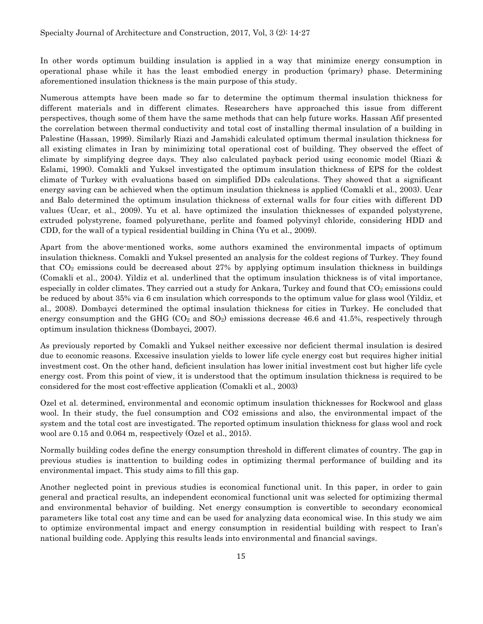In other words optimum building insulation is applied in a way that minimize energy consumption in operational phase while it has the least embodied energy in production (primary) phase. Determining aforementioned insulation thickness is the main purpose of this study.

Numerous attempts have been made so far to determine the optimum thermal insulation thickness for different materials and in different climates. Researchers have approached this issue from different perspectives, though some of them have the same methods that can help future works. Hassan Afif presented the correlation between thermal conductivity and total cost of installing thermal insulation of a building in Palestine (Hassan, 1999). Similarly Riazi and Jamshidi calculated optimum thermal insulation thickness for all existing climates in Iran by minimizing total operational cost of building. They observed the effect of climate by simplifying degree days. They also calculated payback period using economic model (Riazi & Eslami, 1990). Comakli and Yuksel investigated the optimum insulation thickness of EPS for the coldest climate of Turkey with evaluations based on simplified DDs calculations. They showed that a significant energy saving can be achieved when the optimum insulation thickness is applied (Comakli et al., 2003). Ucar and Balo determined the optimum insulation thickness of external walls for four cities with different DD values (Ucar, et al., 2009). Yu et al. have optimized the insulation thicknesses of expanded polystyrene, extruded polystyrene, foamed polyurethane, perlite and foamed polyvinyl chloride, considering HDD and CDD, for the wall of a typical residential building in China (Yu et al., 2009).

Apart from the above-mentioned works, some authors examined the environmental impacts of optimum insulation thickness. Comakli and Yuksel presented an analysis for the coldest regions of Turkey. They found that  $CO<sub>2</sub>$  emissions could be decreased about 27% by applying optimum insulation thickness in buildings (Comakli et al., 2004). Yildiz et al. underlined that the optimum insulation thickness is of vital importance, especially in colder climates. They carried out a study for Ankara, Turkey and found that  $CO<sub>2</sub>$  emissions could be reduced by about 35% via 6 cm insulation which corresponds to the optimum value for glass wool (Yildiz, et al., 2008). Dombayci determined the optimal insulation thickness for cities in Turkey. He concluded that energy consumption and the GHG  $(CO_2$  and  $SO_2)$  emissions decrease 46.6 and 41.5%, respectively through optimum insulation thickness (Dombayci, 2007).

As previously reported by Comakli and Yuksel neither excessive nor deficient thermal insulation is desired due to economic reasons. Excessive insulation yields to lower life cycle energy cost but requires higher initial investment cost. On the other hand, deficient insulation has lower initial investment cost but higher life cycle energy cost. From this point of view, it is understood that the optimum insulation thickness is required to be considered for the most cost-effective application (Comakli et al., 2003)

Ozel et al. determined, environmental and economic optimum insulation thicknesses for Rockwool and glass wool. In their study, the fuel consumption and CO2 emissions and also, the environmental impact of the system and the total cost are investigated. The reported optimum insulation thickness for glass wool and rock wool are 0.15 and 0.064 m, respectively (Ozel et al., 2015).

Normally building codes define the energy consumption threshold in different climates of country. The gap in previous studies is inattention to building codes in optimizing thermal performance of building and its environmental impact. This study aims to fill this gap.

Another neglected point in previous studies is economical functional unit. In this paper, in order to gain general and practical results, an independent economical functional unit was selected for optimizing thermal and environmental behavior of building. Net energy consumption is convertible to secondary economical parameters like total cost any time and can be used for analyzing data economical wise. In this study we aim to optimize environmental impact and energy consumption in residential building with respect to Iran's national building code. Applying this results leads into environmental and financial savings.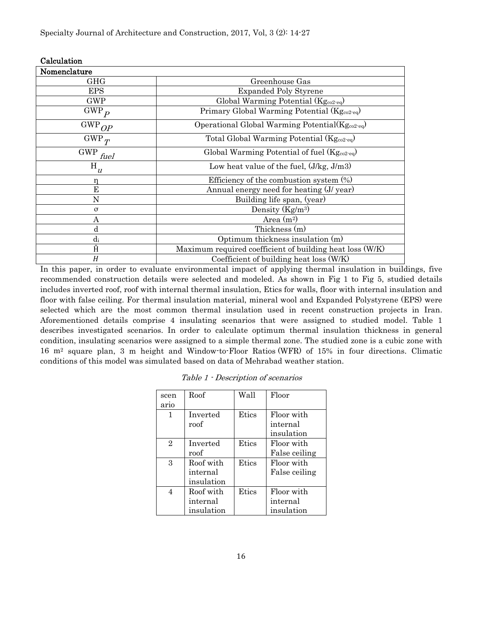| Calculation  |                                                             |  |  |  |  |  |  |
|--------------|-------------------------------------------------------------|--|--|--|--|--|--|
| Nomenclature |                                                             |  |  |  |  |  |  |
| <b>GHG</b>   | Greenhouse Gas                                              |  |  |  |  |  |  |
| <b>EPS</b>   | <b>Expanded Poly Styrene</b>                                |  |  |  |  |  |  |
| <b>GWP</b>   | Global Warming Potential (Kg <sub>co2-eq</sub> )            |  |  |  |  |  |  |
| $GWP_p$      | Primary Global Warming Potential (Kg <sub>co2-eq</sub> )    |  |  |  |  |  |  |
| $GWP_{OP}$   | Operational Global Warming Potential $(Kg_{co2 \text{eq}})$ |  |  |  |  |  |  |
| $GWP_T$      | Total Global Warming Potential $(Kg_{co2-eq})$              |  |  |  |  |  |  |
| $GWP_{fuel}$ | Global Warming Potential of fuel $(Kg_{co2 \text{-} eq})$   |  |  |  |  |  |  |
| ${\bf H}_u$  | Low heat value of the fuel, $(J/kg, J/m3)$                  |  |  |  |  |  |  |
| n            | Efficiency of the combustion system $(\%)$                  |  |  |  |  |  |  |
| Е            | Annual energy need for heating (J/ year)                    |  |  |  |  |  |  |
| N            | Building life span, (year)                                  |  |  |  |  |  |  |
| $\sigma$     | Density $(Kg/m^3)$                                          |  |  |  |  |  |  |
| Α            | Area $(m^2)$                                                |  |  |  |  |  |  |
| d            | Thickness (m)                                               |  |  |  |  |  |  |
| $d_i$        | Optimum thickness insulation (m)                            |  |  |  |  |  |  |
| Ĥ            | Maximum required coefficient of building heat loss (W/K)    |  |  |  |  |  |  |
| H            | Coefficient of building heat loss (W/K)                     |  |  |  |  |  |  |

In this paper, in order to evaluate environmental impact of applying thermal insulation in buildings, five recommended construction details were selected and modeled. As shown in [Fig 1](#page-3-0) to [Fig 5](#page-4-0), studied details includes inverted roof, roof with internal thermal insulation, Etics for walls, floor with internal insulation and floor with false ceiling. For thermal insulation material, mineral wool and Expanded Polystyrene (EPS) were selected which are the most common thermal insulation used in recent construction projects in Iran. Aforementioned details comprise 4 insulating scenarios that were assigned to studied model. Table 1 describes investigated scenarios. In order to calculate optimum thermal insulation thickness in general condition, insulating scenarios were assigned to a simple thermal zone. The studied zone is a cubic zone with 16 m2 square plan, 3 m height and Window-to-Floor Ratios (WFR) of 15% in four directions. Climatic conditions of this model was simulated based on data of Mehrabad weather station.

| scen           | Roof       | Wall  | Floor         |
|----------------|------------|-------|---------------|
| ario           |            |       |               |
| 1              | Inverted   | Etics | Floor with    |
|                | roof       |       | internal      |
|                |            |       | insulation    |
| $\overline{2}$ | Inverted   | Etics | Floor with    |
|                | roof       |       | False ceiling |
| 3              | Roof with  | Etics | Floor with    |
|                | internal   |       | False ceiling |
|                | insulation |       |               |
| 4              | Roof with  | Etics | Floor with    |
|                | internal   |       | internal      |
|                | insulation |       | insulation    |

Table 1 - Description of scenarios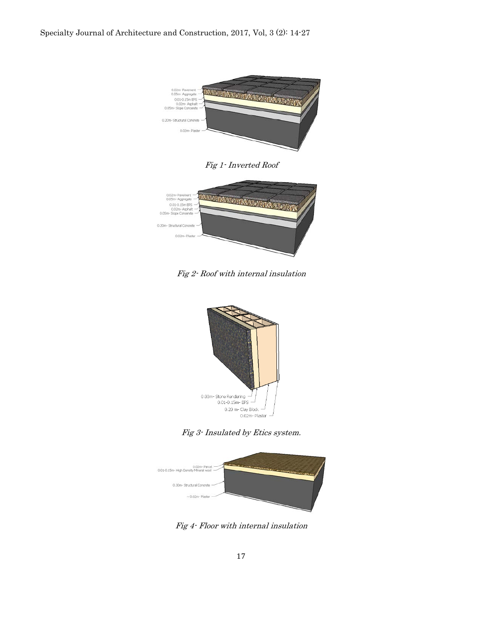

Fig 1- Inverted Roof

<span id="page-3-0"></span>

Fig 2- Roof with internal insulation



Fig 3- Insulated by Etics system.



Fig 4- Floor with internal insulation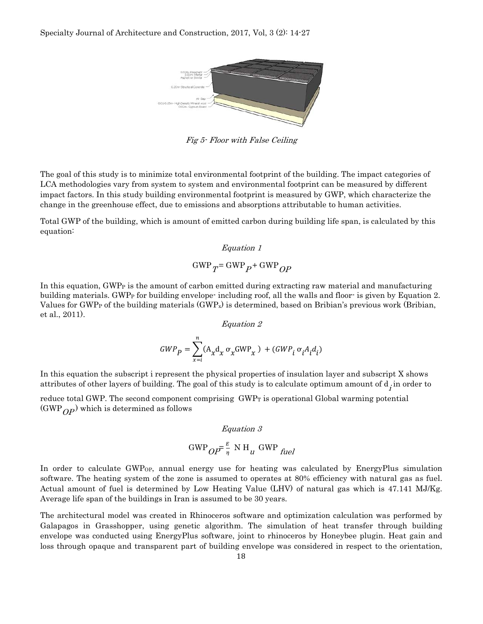

Fig 5- Floor with False Ceiling

<span id="page-4-0"></span>The goal of this study is to minimize total environmental footprint of the building. The impact categories of LCA methodologies vary from system to system and environmental footprint can be measured by different impact factors. In this study building environmental footprint is measured by GWP, which characterize the change in the greenhouse effect, due to emissions and absorptions attributable to human activities.

Total GWP of the building, which is amount of emitted carbon during building life span, is calculated by this equation:

$$
Equation 1
$$
  
GWP<sub>T</sub>= GWP<sub>P</sub>+ GWP<sub>OP</sub>

<span id="page-4-1"></span>In this equation, GWP<sub>P</sub> is the amount of carbon emitted during extracting raw material and manufacturing building materials. GWPP for building envelope- including roof, all the walls and floor- is given by [Equation 2.](#page-4-1) Values for GWP<sub>P</sub> of the building materials  $(GWP_x)$  is determined, based on Bribian's previous work (Bribian, et al., 2011).

Equation 2

$$
GWP_P = \sum_{x=i}^{n} (A_x d_x \sigma_x GWP_x) + (GWP_i \sigma_i A_i d_i)
$$

In this equation the subscript i represent the physical properties of insulation layer and subscript X shows attributes of other layers of building. The goal of this study is to calculate optimum amount of  $d_i$  in order to

reduce total GWP. The second component comprising GWP<sub>T</sub> is operational Global warming potential  $(GWP_{OP})$  which is determined as follows

#### Equation 3

$$
\text{GWP}_{OP} = \frac{E}{\eta} \text{N H}_u \text{ GWP}_{fuel}
$$

In order to calculate GWP<sub>OP</sub>, annual energy use for heating was calculated by EnergyPlus simulation software. The heating system of the zone is assumed to operates at 80% efficiency with natural gas as fuel. Actual amount of fuel is determined by Low Heating Value (LHV) of natural gas which is 47.141 MJ/Kg. Average life span of the buildings in Iran is assumed to be 30 years.

The architectural model was created in Rhinoceros software and optimization calculation was performed by Galapagos in Grasshopper, using genetic algorithm. The simulation of heat transfer through building envelope was conducted using EnergyPlus software, joint to rhinoceros by Honeybee plugin. Heat gain and loss through opaque and transparent part of building envelope was considered in respect to the orientation,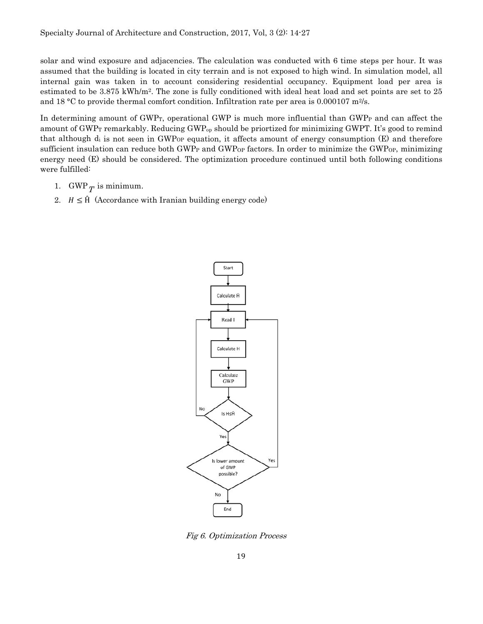solar and wind exposure and adjacencies. The calculation was conducted with 6 time steps per hour. It was assumed that the building is located in city terrain and is not exposed to high wind. In simulation model, all internal gain was taken in to account considering residential occupancy. Equipment load per area is estimated to be 3.875 kWh/m<sup>2</sup>. The zone is fully conditioned with ideal heat load and set points are set to 25 and 18 °C to provide thermal comfort condition. Infiltration rate per area is 0.000107 m<sup>2</sup>/s.

In determining amount of GWP<sub>T</sub>, operational GWP is much more influential than GWP<sub>P</sub> and can affect the amount of GWP<sub>T</sub> remarkably. Reducing GWP<sub>op</sub> should be priortized for minimizing GWPT. It's good to remind that although di is not seen in GWP<sub>OP</sub> equation, it affects amount of energy consumption (E) and therefore sufficient insulation can reduce both GWP<sub>P</sub> and GWP<sub>OP</sub> factors. In order to minimize the GWP<sub>OP</sub>, minimizing energy need (E) should be considered. The optimization procedure continued until both following conditions were fulfilled:

- 1. GWP $_T$  is minimum.
- 2.  $H \leq \hat{H}$  (Accordance with Iranian building energy code)



Fig 6. Optimization Process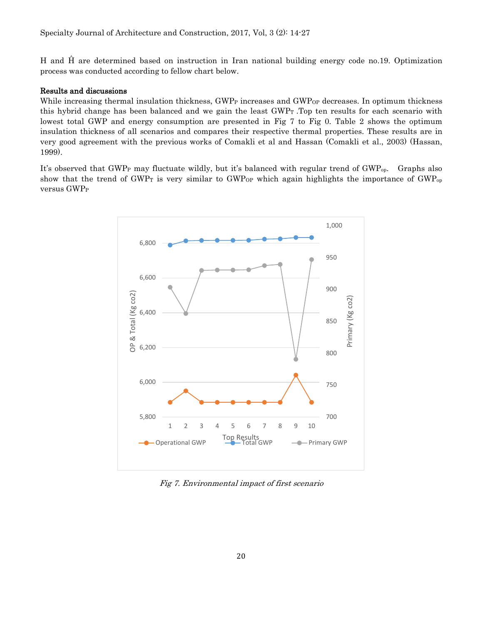H and Ĥ are determined based on instruction in Iran national building energy code no.19. Optimization process was conducted according to fellow chart below.

#### Results and discussions

While increasing thermal insulation thickness, GWP<sub>P</sub> increases and GWP<sub>OP</sub> decreases. In optimum thickness this hybrid change has been balanced and we gain the least GWPT .Top ten results for each scenario with lowest total GWP and energy consumption are presented in [Fig 7](#page-6-0) to [Fig 0](#page-8-0). [Table 2](#page-11-0) shows the optimum insulation thickness of all scenarios and compares their respective thermal properties. These results are in very good agreement with the previous works of Comakli et al and Hassan (Comakli et al., 2003) (Hassan, 1999).

It's observed that GWP<sub>P</sub> may fluctuate wildly, but it's balanced with regular trend of GWP<sub>op</sub>. Graphs also show that the trend of GWP<sub>T</sub> is very similar to GWP<sub>OP</sub> which again highlights the importance of GWP<sub>OP</sub> versus GWP<sub>P</sub>



<span id="page-6-0"></span>Fig 7. Environmental impact of first scenario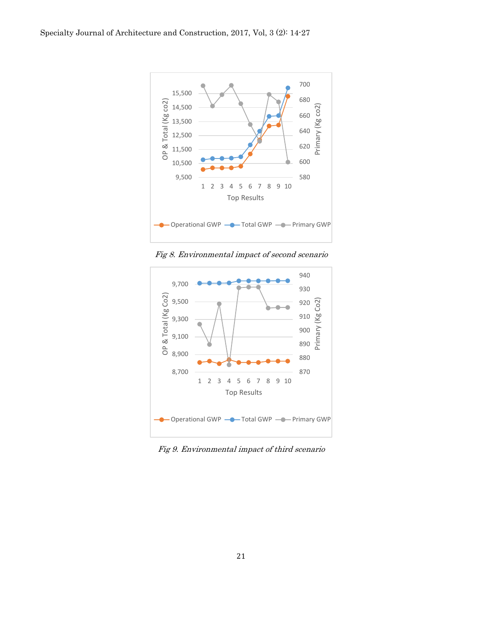

Fig 8. Environmental impact of second scenario



Fig 9. Environmental impact of third scenario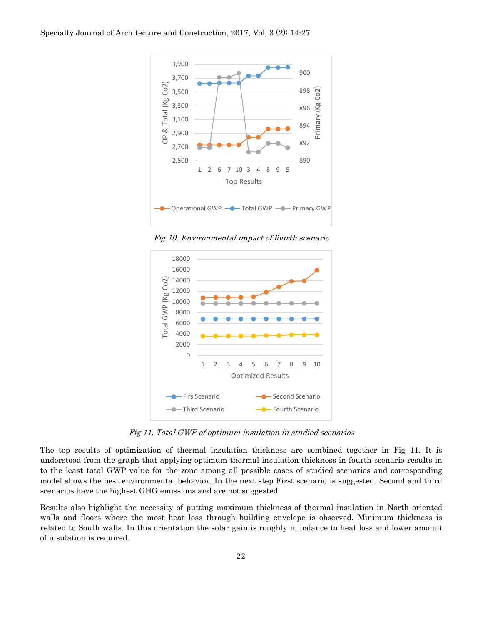

Fig 10. Environmental impact of fourth scenario

<span id="page-8-0"></span>

Fig 11. Total GWP of optimum insulation in studied scenarios

<span id="page-8-1"></span>The top results of optimization of thermal insulation thickness are combined together in [Fig 11](#page-8-1). It is understood from the graph that applying optimum thermal insulation thickness in fourth scenario results in to the least total GWP value for the zone among all possible cases of studied scenarios and corresponding model shows the best environmental behavior. In the next step First scenario is suggested. Second and third scenarios have the highest GHG emissions and are not suggested.

Results also highlight the necessity of putting maximum thickness of thermal insulation in North oriented walls and floors where the most heat loss through building envelope is observed. Minimum thickness is related to South walls. In this orientation the solar gain is roughly in balance to heat loss and lower amount of insulation is required.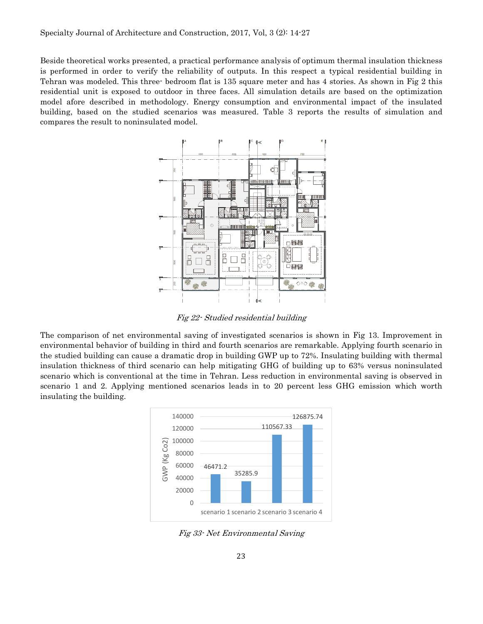Beside theoretical works presented, a practical performance analysis of optimum thermal insulation thickness is performed in order to verify the reliability of outputs. In this respect a typical residential building in Tehran was modeled. This three- bedroom flat is 135 square meter and has 4 stories. As shown in [Fig 2](#page-9-0) this residential unit is exposed to outdoor in three faces. All simulation details are based on the optimization model afore described in methodology. Energy consumption and environmental impact of the insulated building, based on the studied scenarios was measured. [Table 3](#page-11-1) reports the results of simulation and compares the result to noninsulated model.



Fig 22- Studied residential building

<span id="page-9-0"></span>The comparison of net environmental saving of investigated scenarios is shown in Fig 13. Improvement in environmental behavior of building in third and fourth scenarios are remarkable. Applying fourth scenario in the studied building can cause a dramatic drop in building GWP up to 72%. Insulating building with thermal insulation thickness of third scenario can help mitigating GHG of building up to 63% versus noninsulated scenario which is conventional at the time in Tehran. Less reduction in environmental saving is observed in scenario 1 and 2. Applying mentioned scenarios leads in to 20 percent less GHG emission which worth insulating the building.



Fig 33- Net Environmental Saving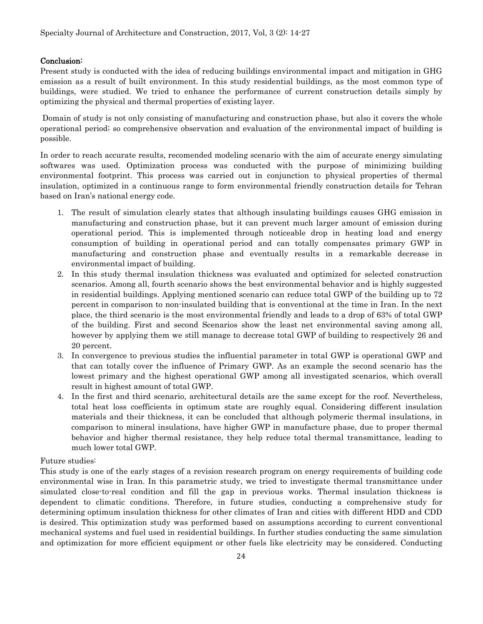### Conclusion:

Present study is conducted with the idea of reducing buildings environmental impact and mitigation in GHG emission as a result of built environment. In this study residential buildings, as the most common type of buildings, were studied. We tried to enhance the performance of current construction details simply by optimizing the physical and thermal properties of existing layer.

Domain of study is not only consisting of manufacturing and construction phase, but also it covers the whole operational period; so comprehensive observation and evaluation of the environmental impact of building is possible.

In order to reach accurate results, recomended modeling scenario with the aim of accurate energy simulating softwares was used. Optimization process was conducted with the purpose of minimizing building environmental footprint. This process was carried out in conjunction to physical properties of thermal insulation, optimized in a continuous range to form environmental friendly construction details for Tehran based on Iran's national energy code.

- 1. The result of simulation clearly states that although insulating buildings causes GHG emission in manufacturing and construction phase, but it can prevent much larger amount of emission during operational period. This is implemented through noticeable drop in heating load and energy consumption of building in operational period and can totally compensates primary GWP in manufacturing and construction phase and eventually results in a remarkable decrease in environmental impact of building.
- 2. In this study thermal insulation thickness was evaluated and optimized for selected construction scenarios. Among all, fourth scenario shows the best environmental behavior and is highly suggested in residential buildings. Applying mentioned scenario can reduce total GWP of the building up to 72 percent in comparison to non-insulated building that is conventional at the time in Iran. In the next place, the third scenario is the most environmental friendly and leads to a drop of 63% of total GWP of the building. First and second Scenarios show the least net environmental saving among all, however by applying them we still manage to decrease total GWP of building to respectively 26 and 20 percent.
- 3. In convergence to previous studies the influential parameter in total GWP is operational GWP and that can totally cover the influence of Primary GWP. As an example the second scenario has the lowest primary and the highest operational GWP among all investigated scenarios, which overall result in highest amount of total GWP.
- 4. In the first and third scenario, architectural details are the same except for the roof. Nevertheless, total heat loss coefficients in optimum state are roughly equal. Considering different insulation materials and their thickness, it can be concluded that although polymeric thermal insulations, in comparison to mineral insulations, have higher GWP in manufacture phase, due to proper thermal behavior and higher thermal resistance, they help reduce total thermal transmittance, leading to much lower total GWP.

#### Future studies:

This study is one of the early stages of a revision research program on energy requirements of building code environmental wise in Iran. In this parametric study, we tried to investigate thermal transmittance under simulated close-to-real condition and fill the gap in previous works. Thermal insulation thickness is dependent to climatic conditions. Therefore, in future studies, conducting a comprehensive study for determining optimum insulation thickness for other climates of Iran and cities with different HDD and CDD is desired. This optimization study was performed based on assumptions according to current conventional mechanical systems and fuel used in residential buildings. In further studies conducting the same simulation and optimization for more efficient equipment or other fuels like electricity may be considered. Conducting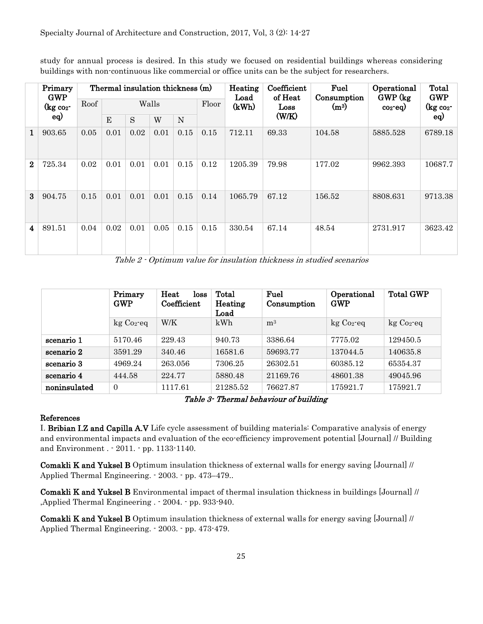study for annual process is desired. In this study we focused on residential buildings whereas considering buildings with non-continuous like commercial or office units can be the subject for researchers.

|  |              | Primary<br><b>GWP</b><br>$(kg \ncos$ | Thermal insulation thickness (m) |       |      |      |      |       | Heating<br>Load | Coefficient<br>of Heat | Fuel<br>Consumption | Operational<br>GWP (kg) | Total<br><b>GWP</b> |
|--|--------------|--------------------------------------|----------------------------------|-------|------|------|------|-------|-----------------|------------------------|---------------------|-------------------------|---------------------|
|  |              |                                      | Roof                             | Walls |      |      |      | Floor | (kWh)           | Loss                   | (m <sup>3</sup> )   | $_{\rm co2}$ -eq)       | $(kg \ncos$         |
|  |              | eq)                                  |                                  | E     | S    | W    | N    |       |                 | (W/K)                  |                     |                         | eq)                 |
|  | $\mathbf{1}$ | 903.65                               | 0.05                             | 0.01  | 0.02 | 0.01 | 0.15 | 0.15  | 712.11          | 69.33                  | 104.58              | 5885.528                | 6789.18             |
|  | $\mathbf{2}$ | 725.34                               | 0.02                             | 0.01  | 0.01 | 0.01 | 0.15 | 0.12  | 1205.39         | 79.98                  | 177.02              | 9962.393                | 10687.7             |
|  | 3            | 904.75                               | 0.15                             | 0.01  | 0.01 | 0.01 | 0.15 | 0.14  | 1065.79         | 67.12                  | 156.52              | 8808.631                | 9713.38             |
|  | 4            | 891.51                               | 0.04                             | 0.02  | 0.01 | 0.05 | 0.15 | 0.15  | 330.54          | 67.14                  | 48.54               | 2731.917                | 3623.42             |

Table 2 - Optimum value for insulation thickness in studied scenarios

<span id="page-11-0"></span>

|              | Primary<br><b>GWP</b> | Heat<br>loss<br>Coefficient | Total<br>Heating<br>Load | Fuel<br>Consumption | Operational<br><b>GWP</b> | <b>Total GWP</b> |
|--------------|-----------------------|-----------------------------|--------------------------|---------------------|---------------------------|------------------|
|              | $kg Co2$ -eq          | W/K                         | kWh                      | m <sup>3</sup>      | $kg Co2$ -eq              | $kg Co2$ -eq     |
| scenario 1   | 5170.46               | 229.43                      | 940.73                   | 3386.64             | 7775.02                   | 129450.5         |
| scenario 2   | 3591.29               | 340.46                      | 16581.6                  | 59693.77            | 137044.5                  | 140635.8         |
| scenario 3   | 4969.24               | 263.056                     | 7306.25                  | 26302.51            | 60385.12                  | 65354.37         |
| scenario 4   | 444.58                | 224.77                      | 5880.48                  | 21169.76            | 48601.38                  | 49045.96         |
| noninsulated | $\Omega$              | 1117.61                     | 21285.52                 | 76627.87            | 175921.7                  | 175921.7         |

<span id="page-11-1"></span>Table 3- Thermal behaviour of building

#### References

I. Bribian I.Z and Capilla A.V Life cycle assessment of building materials: Comparative analysis of energy and environmental impacts and evaluation of the eco-efficiency improvement potential [Journal] // Building and Environment . - 2011. - pp. 1133-1140.

Comakli K and Yuksel B Optimum insulation thickness of external walls for energy saving [Journal] // Applied Thermal Engineering. - 2003. - pp. 473–479..

Comakli K and Yuksel B Environmental impact of thermal insulation thickness in buildings [Journal] // ,Applied Thermal Engineering . - 2004. - pp. 933-940.

Comakli K and Yuksel B Optimum insulation thickness of external walls for energy saving [Journal] // Applied Thermal Engineering. - 2003. - pp. 473-479.